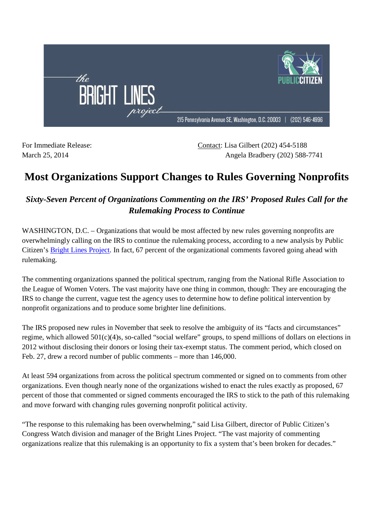

For Immediate Release: Contact: Lisa Gilbert (202) 454-5188 March 25, 2014 <br>
Angela Bradbery (202) 588-7741

## **Most Organizations Support Changes to Rules Governing Nonprofits**

## *Sixty-Seven Percent of Organizations Commenting on the IRS' Proposed Rules Call for the Rulemaking Process to Continue*

WASHINGTON, D.C. – Organizations that would be most affected by new rules governing nonprofits are overwhelmingly calling on the IRS to continue the rulemaking process, according to a new analysis by Public Citizen's Bright Lines Project. In fact, 67 percent of the organizational comments favored going ahead with rulemaking.

The commenting organizations spanned the political spectrum, ranging from the National Rifle Association to the League of Women Voters. The vast majority have one thing in common, though: They are encouraging the IRS to change the current, vague test the agency uses to determine how to define political intervention by nonprofit organizations and to produce some brighter line definitions.

The IRS proposed new rules in November that seek to resolve the ambiguity of its "facts and circumstances" regime, which allowed 501(c)(4)s, so-called "social welfare" groups, to spend millions of dollars on elections in 2012 without disclosing their donors or losing their tax-exempt status. The comment period, which closed on Feb. 27, drew a record number of public comments – more than 146,000.

At least 594 organizations from across the political spectrum commented or signed on to comments from other organizations. Even though nearly none of the organizations wished to enact the rules exactly as proposed, 67 percent of those that commented or signed comments encouraged the IRS to stick to the path of this rulemaking and move forward with changing rules governing nonprofit political activity.

"The response to this rulemaking has been overwhelming," said Lisa Gilbert, director of Public Citizen's Congress Watch division and manager of the Bright Lines Project. "The vast majority of commenting organizations realize that this rulemaking is an opportunity to fix a system that's been broken for decades."